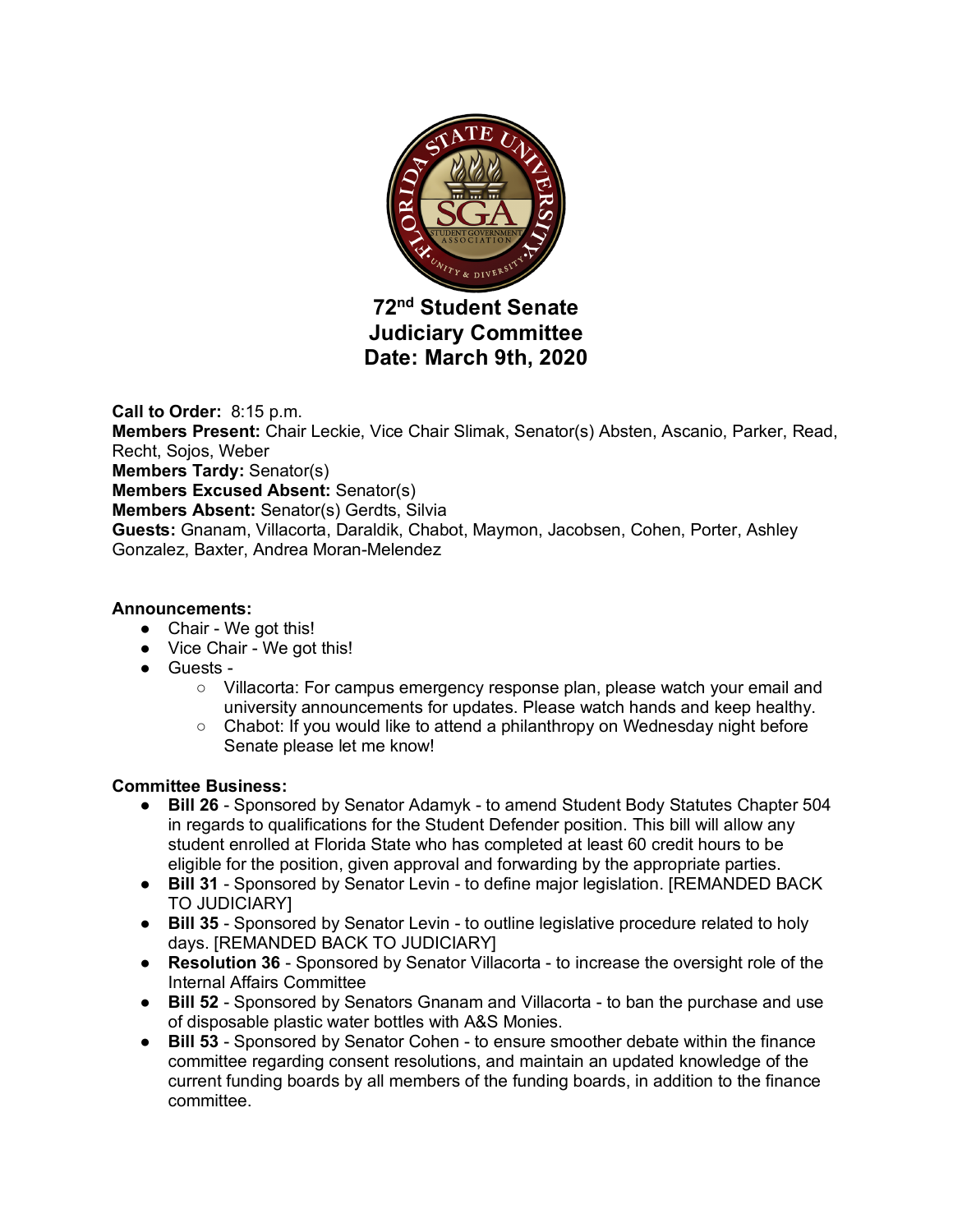

# **72nd Student Senate Judiciary Committee Date: March 9th, 2020**

**Call to Order:** 8:15 p.m.

**Members Present:** Chair Leckie, Vice Chair Slimak, Senator(s) Absten, Ascanio, Parker, Read, Recht, Sojos, Weber

**Members Tardy:** Senator(s)

**Members Excused Absent:** Senator(s)

**Members Absent:** Senator(s) Gerdts, Silvia

**Guests:** Gnanam, Villacorta, Daraldik, Chabot, Maymon, Jacobsen, Cohen, Porter, Ashley Gonzalez, Baxter, Andrea Moran-Melendez

#### **Announcements:**

- Chair We got this!
- Vice Chair We got this!
- Guests
	- Villacorta: For campus emergency response plan, please watch your email and university announcements for updates. Please watch hands and keep healthy.
	- $\circ$  Chabot: If you would like to attend a philanthropy on Wednesday night before Senate please let me know!

#### **Committee Business:**

- **Bill 26** Sponsored by Senator Adamyk to amend Student Body Statutes Chapter 504 in regards to qualifications for the Student Defender position. This bill will allow any student enrolled at Florida State who has completed at least 60 credit hours to be eligible for the position, given approval and forwarding by the appropriate parties.
- **Bill 31** Sponsored by Senator Levin to define major legislation. [REMANDED BACK TO JUDICIARY]
- **Bill 35** Sponsored by Senator Levin to outline legislative procedure related to holy days. [REMANDED BACK TO JUDICIARY]
- **Resolution 36** Sponsored by Senator Villacorta to increase the oversight role of the Internal Affairs Committee
- **Bill 52** Sponsored by Senators Gnanam and Villacorta to ban the purchase and use of disposable plastic water bottles with A&S Monies.
- **Bill 53** Sponsored by Senator Cohen to ensure smoother debate within the finance committee regarding consent resolutions, and maintain an updated knowledge of the current funding boards by all members of the funding boards, in addition to the finance committee.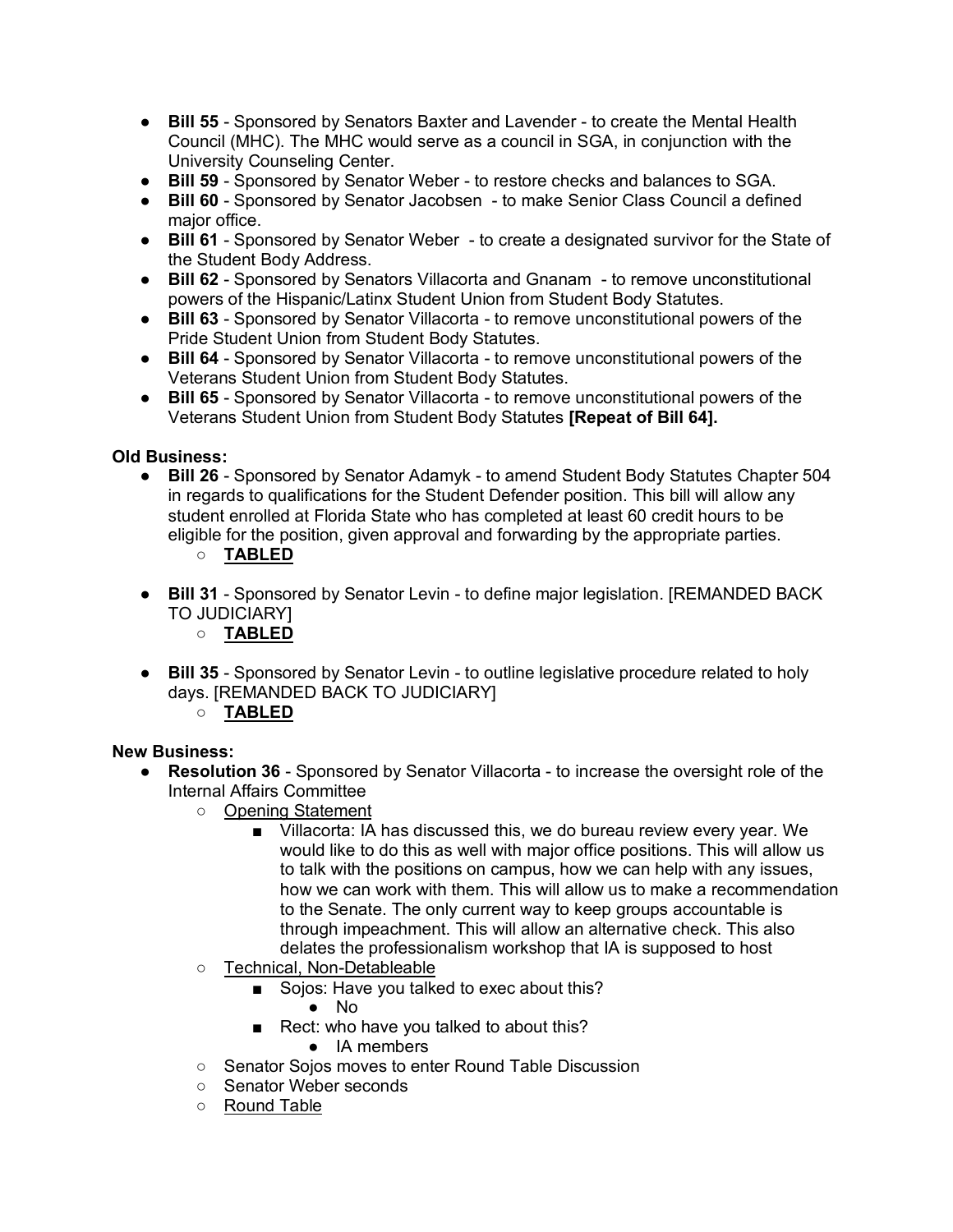- **Bill 55** Sponsored by Senators Baxter and Lavender to create the Mental Health Council (MHC). The MHC would serve as a council in SGA, in conjunction with the University Counseling Center.
- **Bill 59** Sponsored by Senator Weber to restore checks and balances to SGA.
- **Bill 60** Sponsored by Senator Jacobsen to make Senior Class Council a defined major office.
- **Bill 61** Sponsored by Senator Weber to create a designated survivor for the State of the Student Body Address.
- **Bill 62** Sponsored by Senators Villacorta and Gnanam to remove unconstitutional powers of the Hispanic/Latinx Student Union from Student Body Statutes.
- **Bill 63** Sponsored by Senator Villacorta to remove unconstitutional powers of the Pride Student Union from Student Body Statutes.
- **Bill 64** Sponsored by Senator Villacorta to remove unconstitutional powers of the Veterans Student Union from Student Body Statutes.
- **Bill 65** Sponsored by Senator Villacorta to remove unconstitutional powers of the Veterans Student Union from Student Body Statutes **[Repeat of Bill 64].**

# **Old Business:**

● **Bill 26** - Sponsored by Senator Adamyk - to amend Student Body Statutes Chapter 504 in regards to qualifications for the Student Defender position. This bill will allow any student enrolled at Florida State who has completed at least 60 credit hours to be eligible for the position, given approval and forwarding by the appropriate parties.

# ○ **TABLED**

- **Bill 31** Sponsored by Senator Levin to define major legislation. [REMANDED BACK TO JUDICIARY]
	- **TABLED**
- **Bill 35** Sponsored by Senator Levin to outline legislative procedure related to holy days. [REMANDED BACK TO JUDICIARY]
	- **TABLED**

# **New Business:**

- **Resolution 36** Sponsored by Senator Villacorta to increase the oversight role of the Internal Affairs Committee
	- Opening Statement
		- Villacorta: IA has discussed this, we do bureau review every year. We would like to do this as well with major office positions. This will allow us to talk with the positions on campus, how we can help with any issues, how we can work with them. This will allow us to make a recommendation to the Senate. The only current way to keep groups accountable is through impeachment. This will allow an alternative check. This also delates the professionalism workshop that IA is supposed to host
	- Technical, Non-Detableable
		- Sojos: Have you talked to exec about this?
			- No
		- Rect: who have you talked to about this?
			- IA members
	- Senator Sojos moves to enter Round Table Discussion
	- Senator Weber seconds
	- Round Table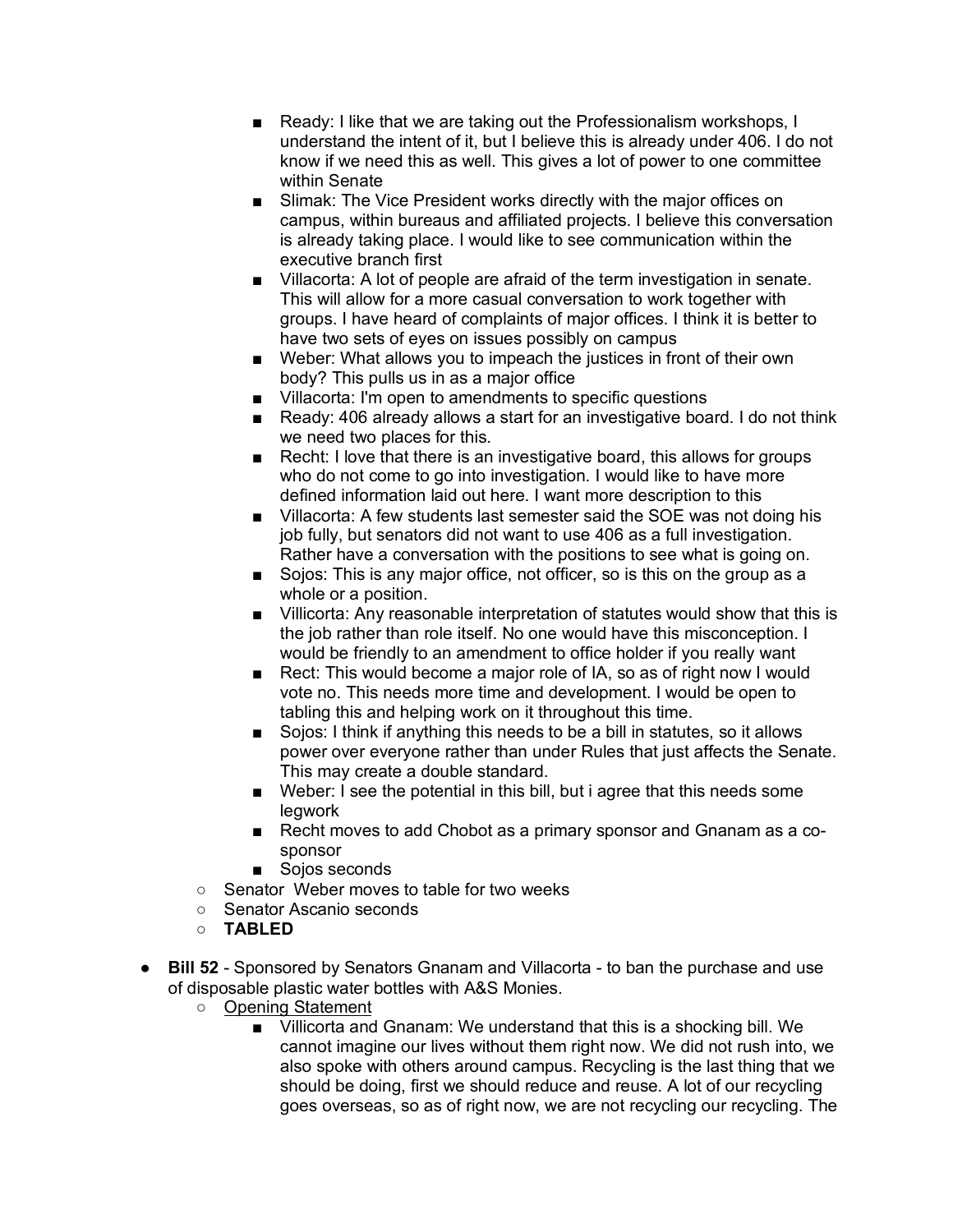- Ready: I like that we are taking out the Professionalism workshops, I understand the intent of it, but I believe this is already under 406. I do not know if we need this as well. This gives a lot of power to one committee within Senate
- Slimak: The Vice President works directly with the major offices on campus, within bureaus and affiliated projects. I believe this conversation is already taking place. I would like to see communication within the executive branch first
- Villacorta: A lot of people are afraid of the term investigation in senate. This will allow for a more casual conversation to work together with groups. I have heard of complaints of major offices. I think it is better to have two sets of eyes on issues possibly on campus
- Weber: What allows you to impeach the justices in front of their own body? This pulls us in as a major office
- Villacorta: I'm open to amendments to specific questions
- Ready: 406 already allows a start for an investigative board. I do not think we need two places for this.
- Recht: I love that there is an investigative board, this allows for groups who do not come to go into investigation. I would like to have more defined information laid out here. I want more description to this
- Villacorta: A few students last semester said the SOE was not doing his job fully, but senators did not want to use 406 as a full investigation. Rather have a conversation with the positions to see what is going on.
- Sojos: This is any major office, not officer, so is this on the group as a whole or a position.
- Villicorta: Any reasonable interpretation of statutes would show that this is the job rather than role itself. No one would have this misconception. I would be friendly to an amendment to office holder if you really want
- Rect: This would become a major role of IA, so as of right now I would vote no. This needs more time and development. I would be open to tabling this and helping work on it throughout this time.
- Sojos: I think if anything this needs to be a bill in statutes, so it allows power over everyone rather than under Rules that just affects the Senate. This may create a double standard.
- Weber: I see the potential in this bill, but i agree that this needs some legwork
- Recht moves to add Chobot as a primary sponsor and Gnanam as a cosponsor
- Soios seconds
- Senator Weber moves to table for two weeks
- Senator Ascanio seconds
- **TABLED**
- **Bill 52** Sponsored by Senators Gnanam and Villacorta to ban the purchase and use of disposable plastic water bottles with A&S Monies.
	- Opening Statement
		- Villicorta and Gnanam: We understand that this is a shocking bill. We cannot imagine our lives without them right now. We did not rush into, we also spoke with others around campus. Recycling is the last thing that we should be doing, first we should reduce and reuse. A lot of our recycling goes overseas, so as of right now, we are not recycling our recycling. The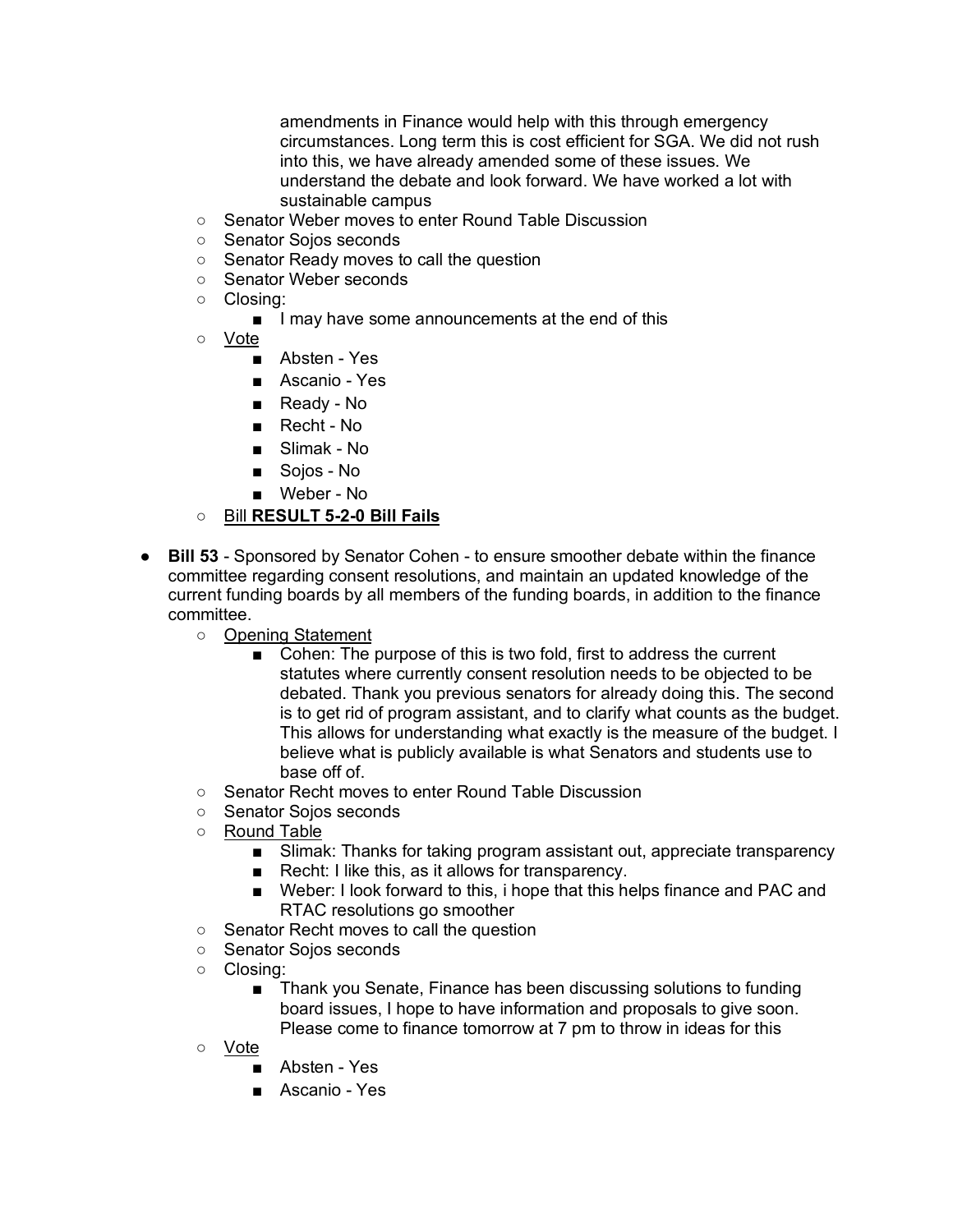amendments in Finance would help with this through emergency circumstances. Long term this is cost efficient for SGA. We did not rush into this, we have already amended some of these issues. We understand the debate and look forward. We have worked a lot with sustainable campus

- Senator Weber moves to enter Round Table Discussion
- Senator Sojos seconds
- Senator Ready moves to call the question
- Senator Weber seconds
- Closing:
	- I may have some announcements at the end of this
- Vote
	- Absten Yes
	- Ascanio Yes
	- Ready No
	- Recht No
	- Slimak No
	- Sojos No
	- Weber No

#### ○ Bill **RESULT 5-2-0 Bill Fails**

- **Bill 53** Sponsored by Senator Cohen to ensure smoother debate within the finance committee regarding consent resolutions, and maintain an updated knowledge of the current funding boards by all members of the funding boards, in addition to the finance committee.
	- Opening Statement
		- Cohen: The purpose of this is two fold, first to address the current statutes where currently consent resolution needs to be objected to be debated. Thank you previous senators for already doing this. The second is to get rid of program assistant, and to clarify what counts as the budget. This allows for understanding what exactly is the measure of the budget. I believe what is publicly available is what Senators and students use to base off of.
	- Senator Recht moves to enter Round Table Discussion
	- Senator Sojos seconds
	- Round Table
		- Slimak: Thanks for taking program assistant out, appreciate transparency
		- Recht: I like this, as it allows for transparency.
		- Weber: I look forward to this, i hope that this helps finance and PAC and RTAC resolutions go smoother
	- Senator Recht moves to call the question
	- Senator Sojos seconds
	- Closing:
		- Thank you Senate, Finance has been discussing solutions to funding board issues, I hope to have information and proposals to give soon. Please come to finance tomorrow at 7 pm to throw in ideas for this
	- Vote
		- Absten Yes
		- Ascanio Yes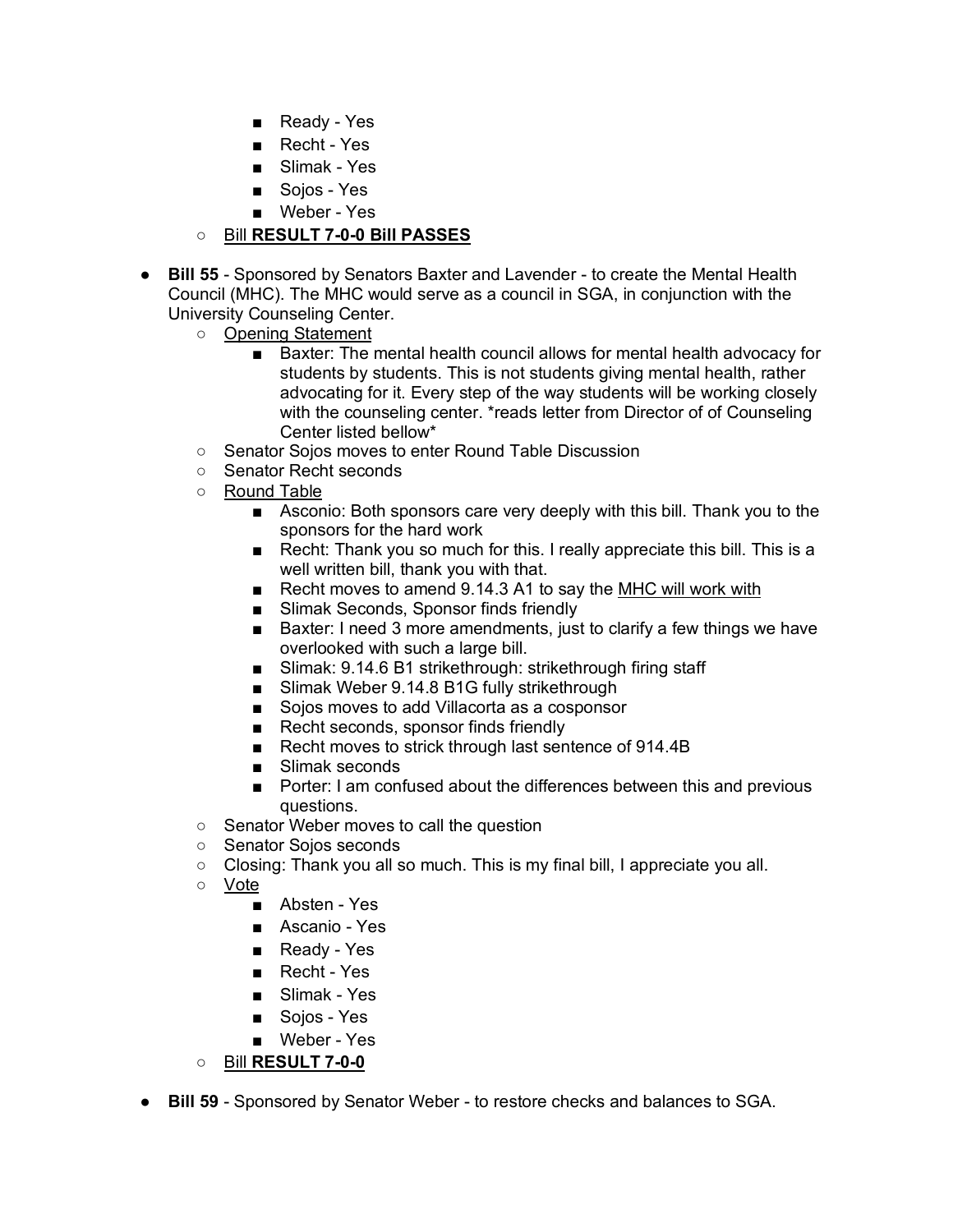- Ready Yes
- Recht Yes
- Slimak Yes
- Soios Yes
- Weber Yes

# ○ Bill **RESULT 7-0-0 Bill PASSES**

- **Bill 55** Sponsored by Senators Baxter and Lavender to create the Mental Health Council (MHC). The MHC would serve as a council in SGA, in conjunction with the University Counseling Center.
	- Opening Statement
		- Baxter: The mental health council allows for mental health advocacy for students by students. This is not students giving mental health, rather advocating for it. Every step of the way students will be working closely with the counseling center. \*reads letter from Director of of Counseling Center listed bellow\*
	- Senator Sojos moves to enter Round Table Discussion
	- Senator Recht seconds
	- Round Table
		- Asconio: Both sponsors care very deeply with this bill. Thank you to the sponsors for the hard work
		- Recht: Thank you so much for this. I really appreciate this bill. This is a well written bill, thank you with that.
		- Recht moves to amend 9.14.3 A1 to say the MHC will work with
		- Slimak Seconds, Sponsor finds friendly
		- Baxter: I need 3 more amendments, just to clarify a few things we have overlooked with such a large bill.
		- Slimak: 9.14.6 B1 strikethrough: strikethrough firing staff
		- Slimak Weber 9.14.8 B1G fully strikethrough
		- Sojos moves to add Villacorta as a cosponsor
		- Recht seconds, sponsor finds friendly
		- Recht moves to strick through last sentence of 914.4B
		- Slimak seconds
		- Porter: I am confused about the differences between this and previous questions.
	- Senator Weber moves to call the question
	- Senator Sojos seconds
	- Closing: Thank you all so much. This is my final bill, I appreciate you all.
	- Vote
		- Absten Yes
		- Ascanio Yes
		- Ready Yes
		- Recht Yes
		- Slimak Yes
		- Sojos Yes
		- Weber Yes
	- Bill **RESULT 7-0-0**
- **Bill 59** Sponsored by Senator Weber to restore checks and balances to SGA.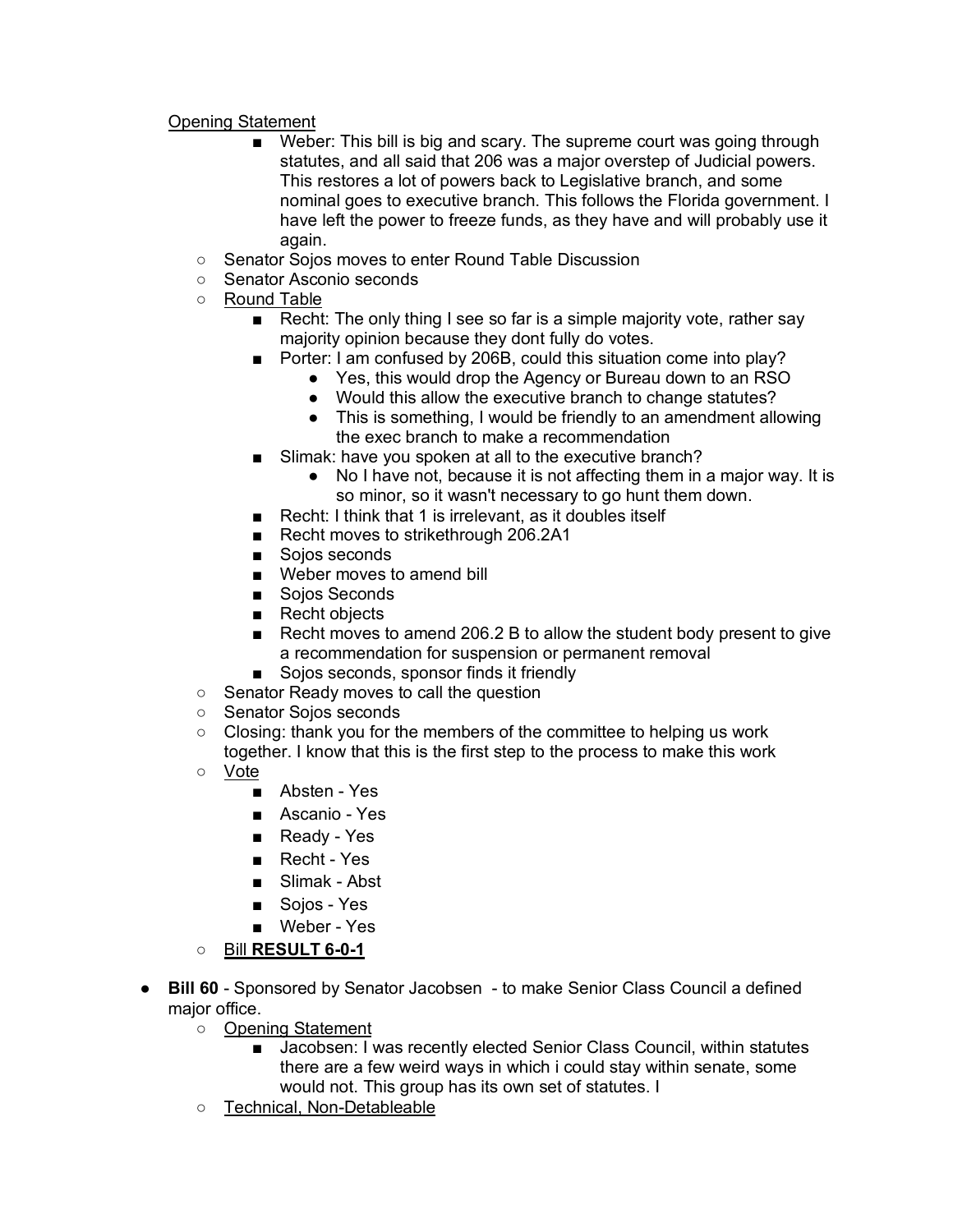#### Opening Statement

- Weber: This bill is big and scary. The supreme court was going through statutes, and all said that 206 was a major overstep of Judicial powers. This restores a lot of powers back to Legislative branch, and some nominal goes to executive branch. This follows the Florida government. I have left the power to freeze funds, as they have and will probably use it again.
- Senator Sojos moves to enter Round Table Discussion
- Senator Asconio seconds
- Round Table
	- Recht: The only thing I see so far is a simple majority vote, rather say majority opinion because they dont fully do votes.
	- Porter: I am confused by 206B, could this situation come into play?
		- Yes, this would drop the Agency or Bureau down to an RSO
		- Would this allow the executive branch to change statutes?
		- This is something, I would be friendly to an amendment allowing the exec branch to make a recommendation
	- Slimak: have you spoken at all to the executive branch?
		- No I have not, because it is not affecting them in a major way. It is so minor, so it wasn't necessary to go hunt them down.
	- Recht: I think that 1 is irrelevant, as it doubles itself
	- Recht moves to strikethrough 206.2A1
	- Sojos seconds
	- Weber moves to amend bill
	- Sojos Seconds
	- Recht objects
	- Recht moves to amend 206.2 B to allow the student body present to give a recommendation for suspension or permanent removal
	- Sojos seconds, sponsor finds it friendly
- Senator Ready moves to call the question
- Senator Sojos seconds
- Closing: thank you for the members of the committee to helping us work together. I know that this is the first step to the process to make this work
- Vote
	- Absten Yes
	- Ascanio Yes
	- Ready Yes
	- Recht Yes
	- Slimak Abst
	- Soios Yes
	- Weber Yes
- Bill **RESULT 6-0-1**
- **Bill 60** Sponsored by Senator Jacobsen to make Senior Class Council a defined major office.
	- Opening Statement
		- Jacobsen: I was recently elected Senior Class Council, within statutes there are a few weird ways in which i could stay within senate, some would not. This group has its own set of statutes. I
	- Technical, Non-Detableable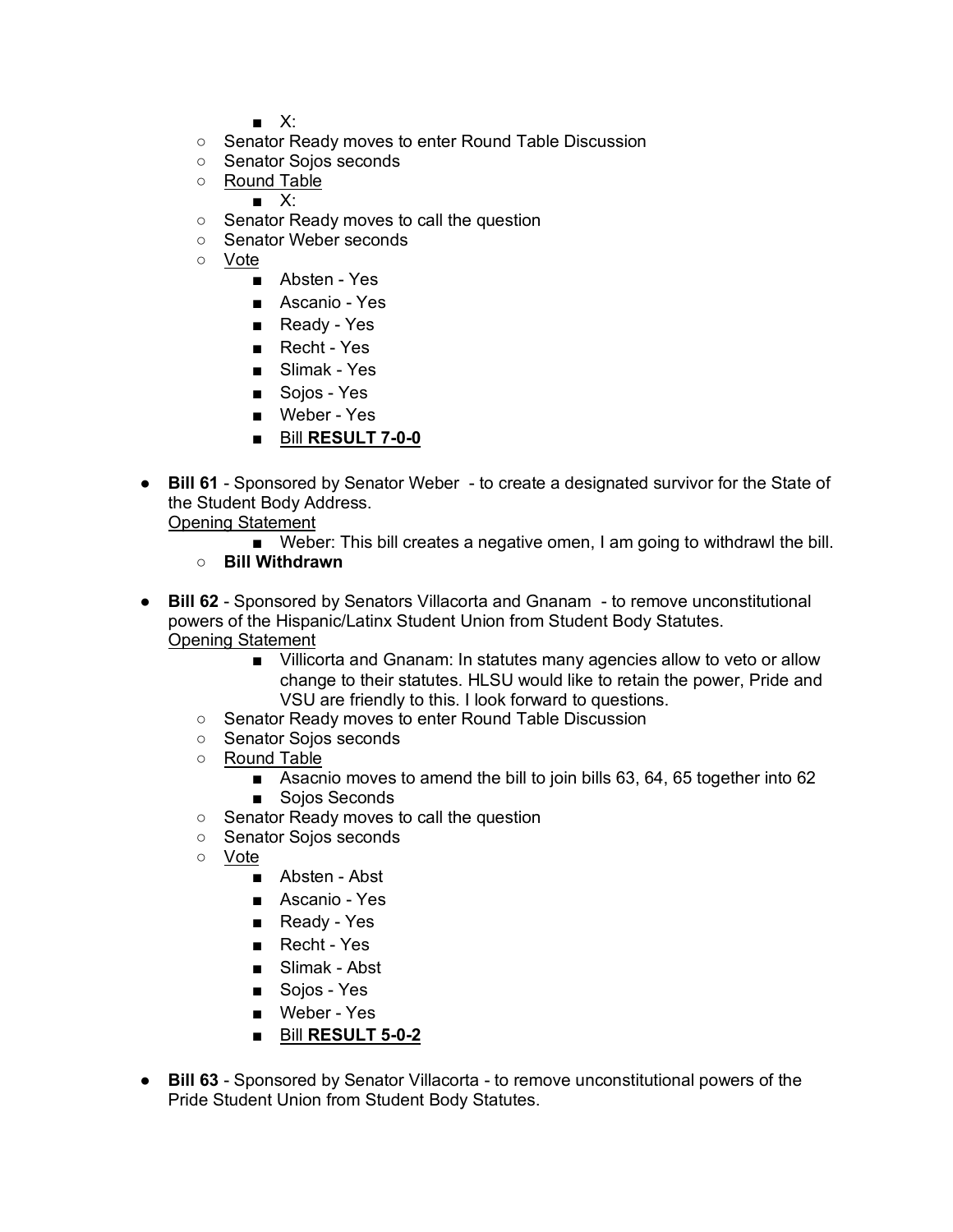■ X:

- Senator Ready moves to enter Round Table Discussion
- Senator Sojos seconds
- Round Table
	- $\blacksquare$   $X^{\perp}$
- Senator Ready moves to call the question
- Senator Weber seconds
- Vote
	- Absten Yes
	- Ascanio Yes
	- Ready Yes
	- Recht Yes
	- Slimak Yes
	- Sojos Yes
	- Weber Yes
	- Bill **RESULT 7-0-0**
- **Bill 61** Sponsored by Senator Weber to create a designated survivor for the State of the Student Body Address.

Opening Statement

- Weber: This bill creates a negative omen, I am going to withdrawl the bill.
- **Bill Withdrawn**
- **Bill 62** Sponsored by Senators Villacorta and Gnanam to remove unconstitutional powers of the Hispanic/Latinx Student Union from Student Body Statutes. Opening Statement
	- Villicorta and Gnanam: In statutes many agencies allow to veto or allow change to their statutes. HLSU would like to retain the power, Pride and VSU are friendly to this. I look forward to questions.
	- Senator Ready moves to enter Round Table Discussion
	- Senator Sojos seconds
	- Round Table
		- Asacnio moves to amend the bill to join bills 63, 64, 65 together into 62 ■ Soios Seconds
	- Senator Ready moves to call the question
	- Senator Sojos seconds
	- Vote
		- Absten Abst
		- Ascanio Yes
		- Ready Yes
		- Recht Yes
		- Slimak Abst
		- Sojos Yes
		- Weber Yes
		- Bill **RESULT 5-0-2**
- **Bill 63** Sponsored by Senator Villacorta to remove unconstitutional powers of the Pride Student Union from Student Body Statutes.